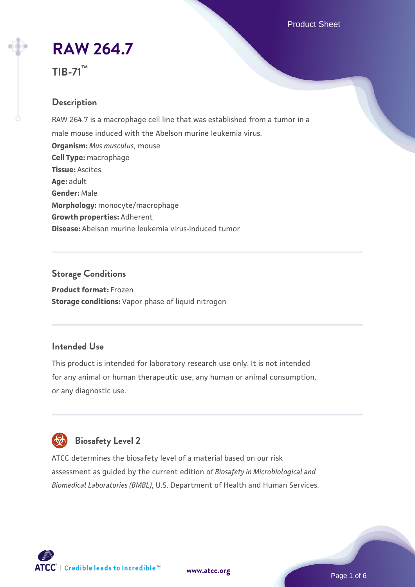Product Sheet

# **[RAW 264.7](https://www.atcc.org/products/tib-71)**



### **Description**

RAW 264.7 is a macrophage cell line that was established from a tumor in a male mouse induced with the Abelson murine leukemia virus. **Organism:** *Mus musculus*, mouse **Cell Type:** macrophage **Tissue:** Ascites **Age:** adult **Gender:** Male **Morphology:** monocyte/macrophage **Growth properties:** Adherent **Disease:** Abelson murine leukemia virus-induced tumor

### **Storage Conditions**

**Product format:** Frozen **Storage conditions:** Vapor phase of liquid nitrogen

### **Intended Use**

This product is intended for laboratory research use only. It is not intended for any animal or human therapeutic use, any human or animal consumption, or any diagnostic use.



ATCC determines the biosafety level of a material based on our risk assessment as guided by the current edition of *Biosafety in Microbiological and Biomedical Laboratories (BMBL)*, U.S. Department of Health and Human Services.

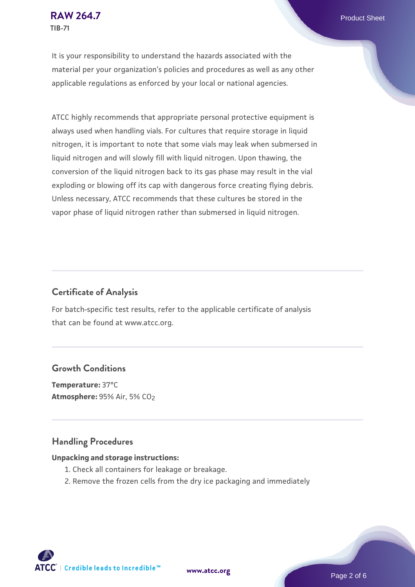It is your responsibility to understand the hazards associated with the material per your organization's policies and procedures as well as any other applicable regulations as enforced by your local or national agencies.

ATCC highly recommends that appropriate personal protective equipment is always used when handling vials. For cultures that require storage in liquid nitrogen, it is important to note that some vials may leak when submersed in liquid nitrogen and will slowly fill with liquid nitrogen. Upon thawing, the conversion of the liquid nitrogen back to its gas phase may result in the vial exploding or blowing off its cap with dangerous force creating flying debris. Unless necessary, ATCC recommends that these cultures be stored in the vapor phase of liquid nitrogen rather than submersed in liquid nitrogen.

### **Certificate of Analysis**

For batch-specific test results, refer to the applicable certificate of analysis that can be found at www.atcc.org.

### **Growth Conditions**

**Temperature:** 37°C **Atmosphere: 95% Air, 5% CO<sub>2</sub>** 

### **Handling Procedures**

#### **Unpacking and storage instructions:**

- 1. Check all containers for leakage or breakage.
- 2. Remove the frozen cells from the dry ice packaging and immediately

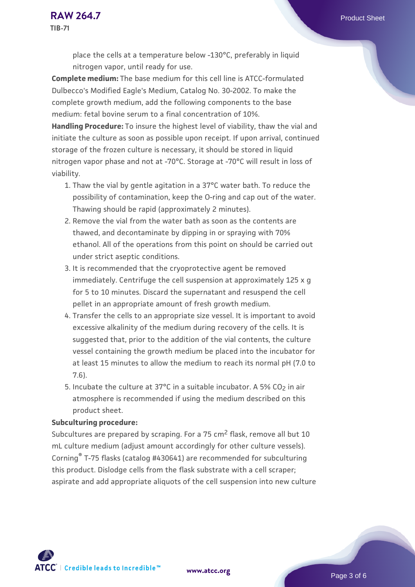place the cells at a temperature below -130°C, preferably in liquid nitrogen vapor, until ready for use.

**Complete medium:** The base medium for this cell line is ATCC-formulated Dulbecco's Modified Eagle's Medium, Catalog No. 30-2002. To make the complete growth medium, add the following components to the base medium: fetal bovine serum to a final concentration of 10%.

**Handling Procedure:** To insure the highest level of viability, thaw the vial and initiate the culture as soon as possible upon receipt. If upon arrival, continued storage of the frozen culture is necessary, it should be stored in liquid nitrogen vapor phase and not at -70°C. Storage at -70°C will result in loss of viability.

- 1. Thaw the vial by gentle agitation in a 37°C water bath. To reduce the possibility of contamination, keep the O-ring and cap out of the water. Thawing should be rapid (approximately 2 minutes).
- 2. Remove the vial from the water bath as soon as the contents are thawed, and decontaminate by dipping in or spraying with 70% ethanol. All of the operations from this point on should be carried out under strict aseptic conditions.
- 3. It is recommended that the cryoprotective agent be removed immediately. Centrifuge the cell suspension at approximately 125 x g for 5 to 10 minutes. Discard the supernatant and resuspend the cell pellet in an appropriate amount of fresh growth medium.
- 4. Transfer the cells to an appropriate size vessel. It is important to avoid excessive alkalinity of the medium during recovery of the cells. It is suggested that, prior to the addition of the vial contents, the culture vessel containing the growth medium be placed into the incubator for at least 15 minutes to allow the medium to reach its normal pH (7.0 to 7.6).
- 5. Incubate the culture at 37°C in a suitable incubator. A 5% CO<sub>2</sub> in air atmosphere is recommended if using the medium described on this product sheet.

#### **Subculturing procedure:**

Subcultures are prepared by scraping. For a 75 cm<sup>2</sup> flask, remove all but 10 mL culture medium (adjust amount accordingly for other culture vessels). Corning® T-75 flasks (catalog #430641) are recommended for subculturing this product. Dislodge cells from the flask substrate with a cell scraper; aspirate and add appropriate aliquots of the cell suspension into new culture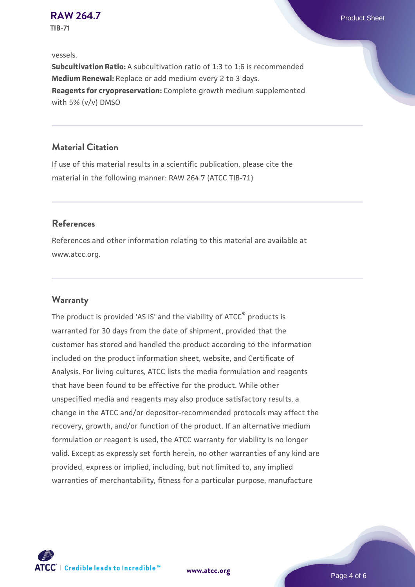# **[RAW 264.7](https://www.atcc.org/products/tib-71)** Product Sheet

**TIB-71**

#### vessels.

**Subcultivation Ratio:** A subcultivation ratio of 1:3 to 1:6 is recommended **Medium Renewal:** Replace or add medium every 2 to 3 days. **Reagents for cryopreservation:** Complete growth medium supplemented with 5% (v/v) DMSO

### **Material Citation**

If use of this material results in a scientific publication, please cite the material in the following manner: RAW 264.7 (ATCC TIB-71)

### **References**

References and other information relating to this material are available at www.atcc.org.

### **Warranty**

The product is provided 'AS IS' and the viability of ATCC® products is warranted for 30 days from the date of shipment, provided that the customer has stored and handled the product according to the information included on the product information sheet, website, and Certificate of Analysis. For living cultures, ATCC lists the media formulation and reagents that have been found to be effective for the product. While other unspecified media and reagents may also produce satisfactory results, a change in the ATCC and/or depositor-recommended protocols may affect the recovery, growth, and/or function of the product. If an alternative medium formulation or reagent is used, the ATCC warranty for viability is no longer valid. Except as expressly set forth herein, no other warranties of any kind are provided, express or implied, including, but not limited to, any implied warranties of merchantability, fitness for a particular purpose, manufacture



**[www.atcc.org](http://www.atcc.org)**

Page 4 of 6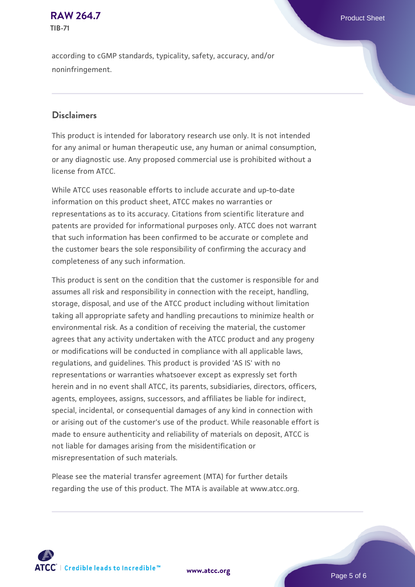### **[RAW 264.7](https://www.atcc.org/products/tib-71)** Product Sheet **TIB-71**

according to cGMP standards, typicality, safety, accuracy, and/or noninfringement.

### **Disclaimers**

This product is intended for laboratory research use only. It is not intended for any animal or human therapeutic use, any human or animal consumption, or any diagnostic use. Any proposed commercial use is prohibited without a license from ATCC.

While ATCC uses reasonable efforts to include accurate and up-to-date information on this product sheet, ATCC makes no warranties or representations as to its accuracy. Citations from scientific literature and patents are provided for informational purposes only. ATCC does not warrant that such information has been confirmed to be accurate or complete and the customer bears the sole responsibility of confirming the accuracy and completeness of any such information.

This product is sent on the condition that the customer is responsible for and assumes all risk and responsibility in connection with the receipt, handling, storage, disposal, and use of the ATCC product including without limitation taking all appropriate safety and handling precautions to minimize health or environmental risk. As a condition of receiving the material, the customer agrees that any activity undertaken with the ATCC product and any progeny or modifications will be conducted in compliance with all applicable laws, regulations, and guidelines. This product is provided 'AS IS' with no representations or warranties whatsoever except as expressly set forth herein and in no event shall ATCC, its parents, subsidiaries, directors, officers, agents, employees, assigns, successors, and affiliates be liable for indirect, special, incidental, or consequential damages of any kind in connection with or arising out of the customer's use of the product. While reasonable effort is made to ensure authenticity and reliability of materials on deposit, ATCC is not liable for damages arising from the misidentification or misrepresentation of such materials.

Please see the material transfer agreement (MTA) for further details regarding the use of this product. The MTA is available at www.atcc.org.



**[www.atcc.org](http://www.atcc.org)**

Page 5 of 6